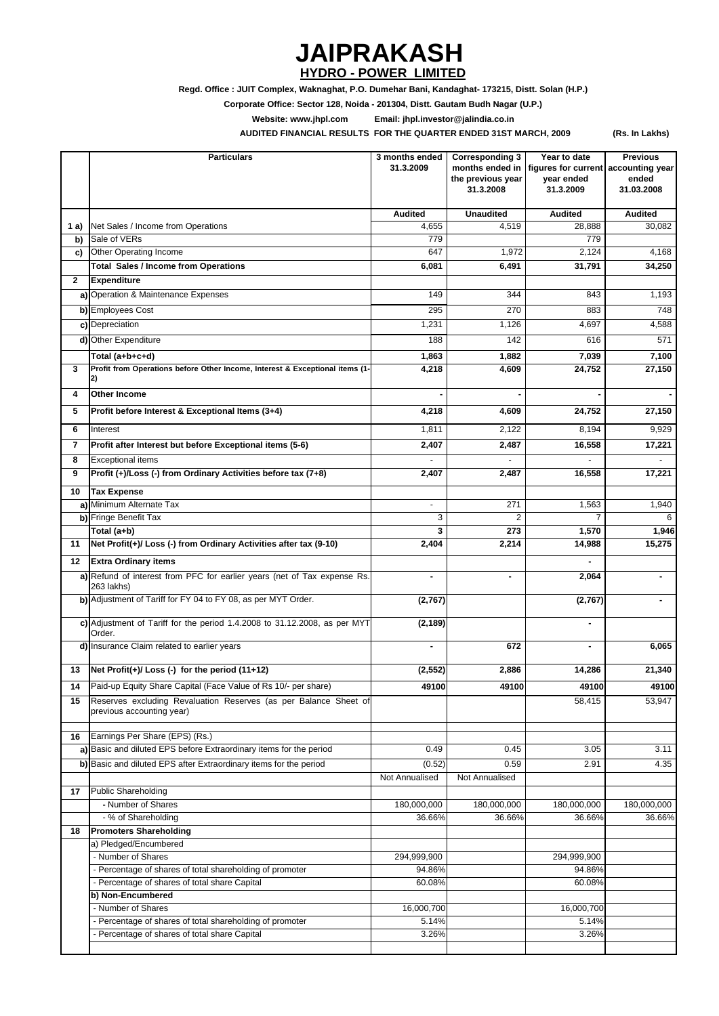**(Rs. In Lakhs)**

|                | <b>Particulars</b>                                                                            | 3 months ended<br>31.3.2009 | <b>Corresponding 3</b><br>the previous year<br>31.3.2008 | Year to date<br>months ended in   figures for current   accounting year<br>year ended<br>31.3.2009 | <b>Previous</b><br>ended<br>31.03.2008 |
|----------------|-----------------------------------------------------------------------------------------------|-----------------------------|----------------------------------------------------------|----------------------------------------------------------------------------------------------------|----------------------------------------|
|                |                                                                                               | <b>Audited</b>              | <b>Unaudited</b>                                         | <b>Audited</b>                                                                                     | <b>Audited</b>                         |
| 1 a)           | Net Sales / Income from Operations<br>Sale of VERs                                            | 4,655<br>779                | 4,519                                                    | 28,888<br>779                                                                                      | 30,082                                 |
| b)<br>c)       | Other Operating Income                                                                        | 647                         | 1,972                                                    | 2,124                                                                                              | 4,168                                  |
|                | <b>Total Sales / Income from Operations</b>                                                   | 6,081                       | 6,491                                                    | 31,791                                                                                             | 34,250                                 |
| $\mathbf{2}$   | <b>Expenditure</b>                                                                            |                             |                                                          |                                                                                                    |                                        |
|                | a) Operation & Maintenance Expenses                                                           | 149                         | 344                                                      | 843                                                                                                | 1,193                                  |
|                | b) Employees Cost                                                                             | 295                         | 270                                                      | 883                                                                                                | 748                                    |
|                | c) Depreciation                                                                               | 1,231                       | 1,126                                                    | 4,697                                                                                              | 4,588                                  |
|                |                                                                                               | 188                         | 142                                                      | 616                                                                                                | 571                                    |
|                | d) Other Expenditure                                                                          |                             |                                                          |                                                                                                    |                                        |
|                | Total (a+b+c+d)                                                                               | 1,863                       | 1,882                                                    | 7,039                                                                                              | 7,100                                  |
| 3              | Profit from Operations before Other Income, Interest & Exceptional items (1-<br>2)            | 4,218                       | 4,609                                                    | 24,752                                                                                             | 27,150                                 |
| 4              | <b>Other Income</b>                                                                           |                             |                                                          |                                                                                                    |                                        |
| 5              | Profit before Interest & Exceptional Items (3+4)                                              | 4,218                       | 4,609                                                    | 24,752                                                                                             | 27,150                                 |
| 6              | Interest                                                                                      | 1,811                       | 2,122                                                    | 8,194                                                                                              | 9,929                                  |
| $\overline{7}$ | Profit after Interest but before Exceptional items (5-6)                                      | 2,407                       | 2,487                                                    | 16,558                                                                                             | 17,221                                 |
| 8              | <b>Exceptional items</b>                                                                      |                             |                                                          |                                                                                                    |                                        |
| 9              | Profit (+)/Loss (-) from Ordinary Activities before tax (7+8)                                 | 2,407                       | 2,487                                                    | 16,558                                                                                             | 17,221                                 |
| 10             | <b>Tax Expense</b>                                                                            |                             |                                                          |                                                                                                    |                                        |
|                | a) Minimum Alternate Tax                                                                      | $\sim$                      | 271                                                      | 1,563                                                                                              | 1,940                                  |
|                | b) Fringe Benefit Tax                                                                         | 3                           | $\overline{2}$                                           | 7                                                                                                  | $6\phantom{1}$                         |
|                | Total (a+b)                                                                                   | 3                           | 273                                                      | 1,570                                                                                              | 1,946                                  |
| 11             | Net Profit(+)/ Loss (-) from Ordinary Activities after tax (9-10)                             | 2,404                       | 2,214                                                    | 14,988                                                                                             | 15,275                                 |
| 12             | <b>Extra Ordinary items</b>                                                                   |                             |                                                          | $\blacksquare$                                                                                     |                                        |
|                | a) Refund of interest from PFC for earlier years (net of Tax expense Rs.<br>263 lakhs)        | $\blacksquare$              | $\blacksquare$                                           | 2,064                                                                                              |                                        |
|                | b) Adjustment of Tariff for FY 04 to FY 08, as per MYT Order.                                 | (2,767)                     |                                                          | (2,767)                                                                                            |                                        |
|                | c) Adjustment of Tariff for the period 1.4.2008 to 31.12.2008, as per MYT<br>Order.           | (2, 189)                    |                                                          | $\blacksquare$                                                                                     |                                        |
|                | d) Insurance Claim related to earlier years                                                   |                             | 672                                                      | $\blacksquare$                                                                                     | 6,065                                  |
| 13             | Net Profit(+)/ Loss (-) for the period (11+12)                                                | (2, 552)                    | 2,886                                                    | 14,286                                                                                             | 21,340                                 |
| 14             | Paid-up Equity Share Capital (Face Value of Rs 10/- per share)                                | 49100                       | 49100                                                    | 49100                                                                                              | 49100                                  |
| 15             | Reserves excluding Revaluation Reserves (as per Balance Sheet of<br>previous accounting year) |                             |                                                          | 58,415                                                                                             | 53,947                                 |
| 16             | Earnings Per Share (EPS) (Rs.)                                                                |                             |                                                          |                                                                                                    |                                        |
|                | a) Basic and diluted EPS before Extraordinary items for the period                            | 0.49                        | 0.45                                                     | 3.05                                                                                               | 3.11                                   |
|                | b) Basic and diluted EPS after Extraordinary items for the period                             | (0.52)                      | 0.59                                                     | 2.91                                                                                               | 4.35                                   |
|                |                                                                                               | Not Annualised              | Not Annualised                                           |                                                                                                    |                                        |
| 17             | Public Shareholding                                                                           |                             |                                                          |                                                                                                    |                                        |
|                | - Number of Shares                                                                            | 180,000,000                 | 180,000,000                                              | 180,000,000                                                                                        | 180,000,000                            |
|                | - % of Shareholding                                                                           | 36.66%                      | 36.66%                                                   | 36.66%                                                                                             | 36.66%                                 |
| 18             | <b>Promoters Shareholding</b><br>a) Pledged/Encumbered                                        |                             |                                                          |                                                                                                    |                                        |
|                | - Number of Shares                                                                            | 294,999,900                 |                                                          | 294,999,900                                                                                        |                                        |
|                | - Percentage of shares of total shareholding of promoter                                      | 94.86%                      |                                                          | 94.86%                                                                                             |                                        |
|                | - Percentage of shares of total share Capital                                                 | 60.08%                      |                                                          | 60.08%                                                                                             |                                        |
|                | b) Non-Encumbered                                                                             |                             |                                                          |                                                                                                    |                                        |
|                | - Number of Shares                                                                            | 16,000,700                  |                                                          | 16,000,700                                                                                         |                                        |
|                | - Percentage of shares of total shareholding of promoter                                      | 5.14%                       |                                                          | 5.14%                                                                                              |                                        |
|                | - Percentage of shares of total share Capital                                                 | 3.26%                       |                                                          | 3.26%                                                                                              |                                        |
|                |                                                                                               |                             |                                                          |                                                                                                    |                                        |

 **AUDITED FINANCIAL RESULTS FOR THE QUARTER ENDED 31ST MARCH, 2009**

**Website: www.jhpl.com Email: jhpl.investor@jalindia.co.in**

## **JAIPRAKASH HYDRO - POWER LIMITED**

**Regd. Office : JUIT Complex, Waknaghat, P.O. Dumehar Bani, Kandaghat- 173215, Distt. Solan (H.P.)**

**Corporate Office: Sector 128, Noida - 201304, Distt. Gautam Budh Nagar (U.P.)**